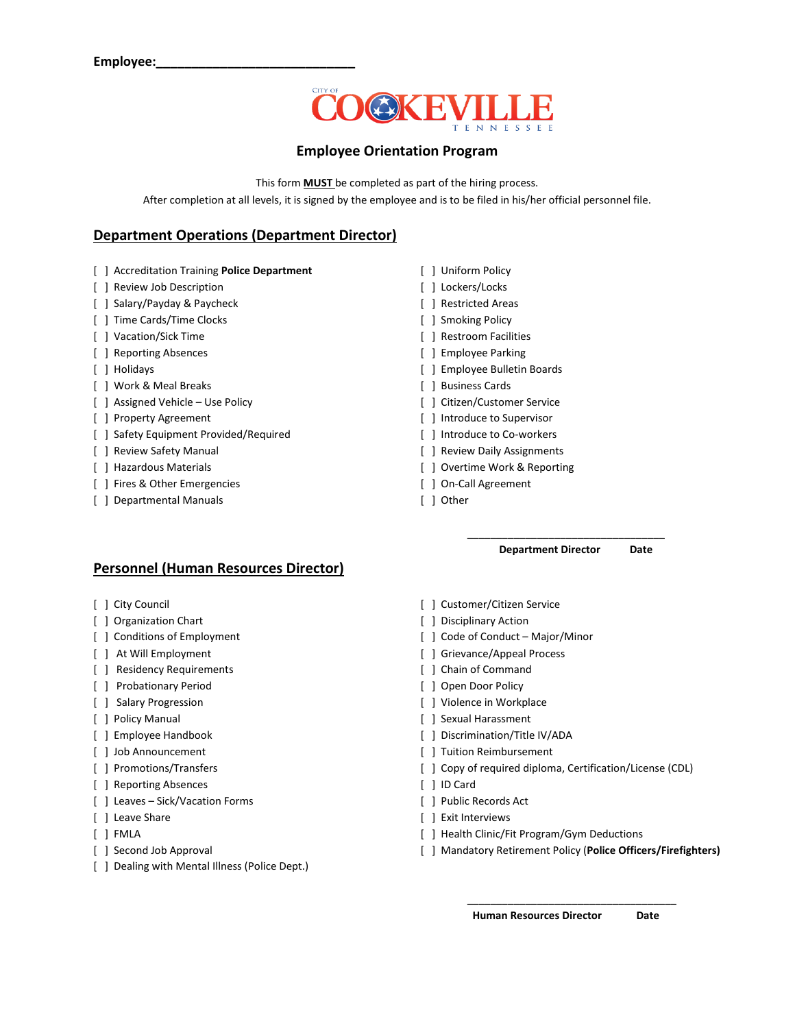

### **Employee Orientation Program**

This form **MUST** be completed as part of the hiring process. After completion at all levels, it is signed by the employee and is to be filed in his/her official personnel file.

### **Department Operations (Department Director)**

- [ ] Accreditation Training **Police Department** [ ] Uniform Policy
- [ ] Review Job Description [ ] Lockers/Locks
- [ ] Salary/Payday & Paycheck [ ] Restricted Areas
- [ ] Time Cards/Time Clocks [ ] Smoking Policy
- 
- [ ] Reporting Absences [ ] Employee Parking
- 
- [ ] Work & Meal Breaks [ ] Business Cards
- [ ] Assigned Vehicle Use Policy [ ] Citizen/Customer Service
- 
- [ ] Safety Equipment Provided/Required [ ] Introduce to Co-workers
- 
- 
- [ ] Fires & Other Emergencies [ ] On-Call Agreement
- [ ] Departmental Manuals [ ] Other
- 
- 
- 
- 
- [ ] Vacation/Sick Time  $\qquad \qquad \qquad \qquad \qquad$  ] Restroom Facilities
	-
- [ ] Holidays [ ] Employee Bulletin Boards
	-
	-
- [ ] Property Agreement [ ] Introduce to Supervisor
	-
- [ ] Review Safety Manual **[ ] Review Daily Assignments**
- [ ] Hazardous Materials [ ] Overtime Work & Reporting
	-
	-

#### \_\_\_\_\_\_\_\_\_\_\_\_\_\_\_\_\_\_\_\_\_\_\_\_\_\_\_\_\_\_\_\_\_\_  **Department Director Date**

#### **Personnel (Human Resources Director)**

- 
- [ ] Organization Chart [ ] Disciplinary Action
- 
- 
- [ ] Residency Requirements [ ] Chain of Command
- [ ] Probationary Period [ ] Open Door Policy
- 
- 
- 
- 
- 
- [ ] Reporting Absences [ ] ID Card
- [ ] Leaves Sick/Vacation Forms [ ] Public Records Act
- 
- 
- 
- [ ] Dealing with Mental Illness (Police Dept.)
- [ ] City Council [ ] Customer/Citizen Service
	-
- [ ] Conditions of Employment [ ] Code of Conduct Major/Minor
- [ ] At Will Employment [ ] Grievance/Appeal Process
	-
	-
- [ ] Salary Progression **by Exercise 2.1 and Solution** and Solution ( ) Violence in Workplace
- [ ] Policy Manual [ ] Sexual Harassment
- [ ] Employee Handbook [ ] Discrimination/Title IV/ADA
- [ ] Job Announcement [ ] Tuition Reimbursement
- [ ] Promotions/Transfers [ ] Copy of required diploma, Certification/License (CDL)
	-
	-
- [ ] Leave Share [ ] Exit Interviews
- [ ] FMLA **[ ] Health Clinic/Fit Program/Gym Deductions**
- [ ] Second Job Approval [ ] Mandatory Retirement Policy (**Police Officers/Firefighters)**

\_\_\_\_\_\_\_\_\_\_\_\_\_\_\_\_\_\_\_\_\_\_\_\_\_\_\_\_\_\_\_\_\_\_\_\_